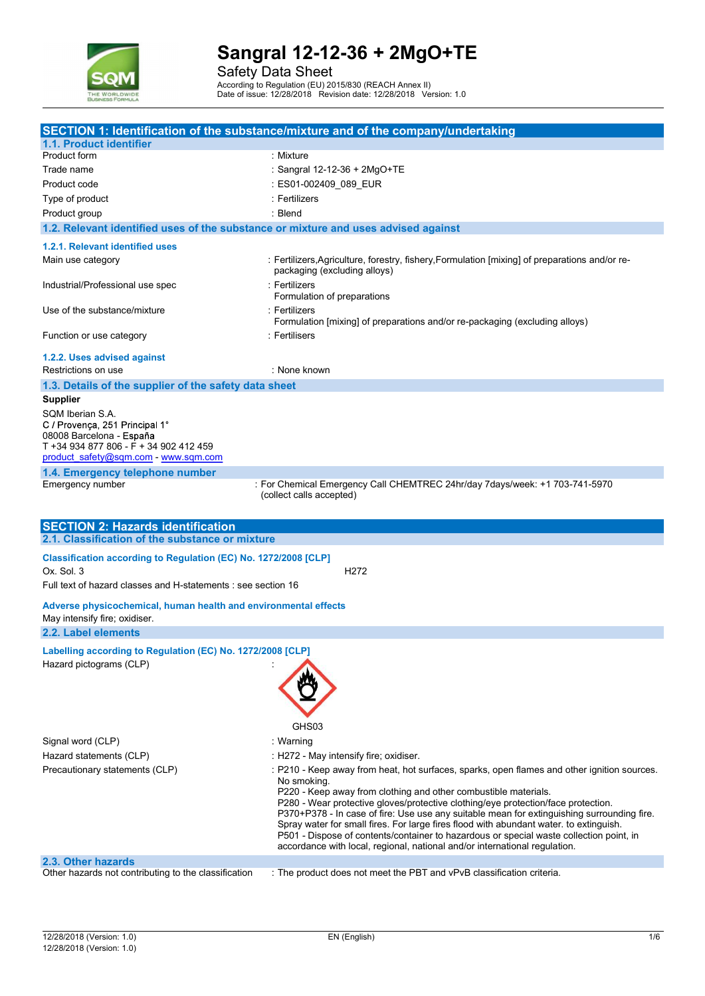

Safety Data Sheet

According to Regulation (EU) 2015/830 (REACH Annex II) Date of issue: 12/28/2018 Revision date: 12/28/2018 Version: 1.0

|                                                                                                                          | SECTION 1: Identification of the substance/mixture and of the company/undertaking                                                                                                                                                                                                                                                                                                                                                                                                                                                                                                                                                   |
|--------------------------------------------------------------------------------------------------------------------------|-------------------------------------------------------------------------------------------------------------------------------------------------------------------------------------------------------------------------------------------------------------------------------------------------------------------------------------------------------------------------------------------------------------------------------------------------------------------------------------------------------------------------------------------------------------------------------------------------------------------------------------|
| 1.1. Product identifier                                                                                                  |                                                                                                                                                                                                                                                                                                                                                                                                                                                                                                                                                                                                                                     |
| Product form                                                                                                             | : Mixture                                                                                                                                                                                                                                                                                                                                                                                                                                                                                                                                                                                                                           |
| Trade name                                                                                                               | : Sangral 12-12-36 + 2MgO+TE                                                                                                                                                                                                                                                                                                                                                                                                                                                                                                                                                                                                        |
| Product code                                                                                                             | : ES01-002409_089_EUR                                                                                                                                                                                                                                                                                                                                                                                                                                                                                                                                                                                                               |
| Type of product                                                                                                          | : Fertilizers                                                                                                                                                                                                                                                                                                                                                                                                                                                                                                                                                                                                                       |
| Product group                                                                                                            | : Blend                                                                                                                                                                                                                                                                                                                                                                                                                                                                                                                                                                                                                             |
| 1.2. Relevant identified uses of the substance or mixture and uses advised against                                       |                                                                                                                                                                                                                                                                                                                                                                                                                                                                                                                                                                                                                                     |
| 1.2.1. Relevant identified uses                                                                                          |                                                                                                                                                                                                                                                                                                                                                                                                                                                                                                                                                                                                                                     |
| Main use category                                                                                                        | : Fertilizers, Agriculture, forestry, fishery, Formulation [mixing] of preparations and/or re-                                                                                                                                                                                                                                                                                                                                                                                                                                                                                                                                      |
|                                                                                                                          | packaging (excluding alloys)                                                                                                                                                                                                                                                                                                                                                                                                                                                                                                                                                                                                        |
| Industrial/Professional use spec                                                                                         | : Fertilizers<br>Formulation of preparations                                                                                                                                                                                                                                                                                                                                                                                                                                                                                                                                                                                        |
| Use of the substance/mixture                                                                                             | : Fertilizers<br>Formulation [mixing] of preparations and/or re-packaging (excluding alloys)                                                                                                                                                                                                                                                                                                                                                                                                                                                                                                                                        |
| Function or use category                                                                                                 | : Fertilisers                                                                                                                                                                                                                                                                                                                                                                                                                                                                                                                                                                                                                       |
| 1.2.2. Uses advised against                                                                                              |                                                                                                                                                                                                                                                                                                                                                                                                                                                                                                                                                                                                                                     |
| Restrictions on use                                                                                                      | : None known                                                                                                                                                                                                                                                                                                                                                                                                                                                                                                                                                                                                                        |
| 1.3. Details of the supplier of the safety data sheet                                                                    |                                                                                                                                                                                                                                                                                                                                                                                                                                                                                                                                                                                                                                     |
| Supplier                                                                                                                 |                                                                                                                                                                                                                                                                                                                                                                                                                                                                                                                                                                                                                                     |
| SQM Iberian S.A.<br>C / Provença, 251 Principal 1°<br>08008 Barcelona - España<br>T +34 934 877 806 - F + 34 902 412 459 |                                                                                                                                                                                                                                                                                                                                                                                                                                                                                                                                                                                                                                     |
| product safety@sqm.com - www.sqm.com                                                                                     |                                                                                                                                                                                                                                                                                                                                                                                                                                                                                                                                                                                                                                     |
| 1.4. Emergency telephone number                                                                                          |                                                                                                                                                                                                                                                                                                                                                                                                                                                                                                                                                                                                                                     |
| Emergency number                                                                                                         | : For Chemical Emergency Call CHEMTREC 24hr/day 7days/week: +1 703-741-5970<br>(collect calls accepted)                                                                                                                                                                                                                                                                                                                                                                                                                                                                                                                             |
| <b>SECTION 2: Hazards identification</b>                                                                                 |                                                                                                                                                                                                                                                                                                                                                                                                                                                                                                                                                                                                                                     |
| 2.1. Classification of the substance or mixture                                                                          |                                                                                                                                                                                                                                                                                                                                                                                                                                                                                                                                                                                                                                     |
| Classification according to Regulation (EC) No. 1272/2008 [CLP]                                                          |                                                                                                                                                                                                                                                                                                                                                                                                                                                                                                                                                                                                                                     |
| Ox. Sol. 3                                                                                                               | H <sub>2</sub> 72                                                                                                                                                                                                                                                                                                                                                                                                                                                                                                                                                                                                                   |
| Full text of hazard classes and H-statements : see section 16                                                            |                                                                                                                                                                                                                                                                                                                                                                                                                                                                                                                                                                                                                                     |
| Adverse physicochemical, human health and environmental effects<br>May intensify fire; oxidiser.                         |                                                                                                                                                                                                                                                                                                                                                                                                                                                                                                                                                                                                                                     |
| 2.2. Label elements                                                                                                      |                                                                                                                                                                                                                                                                                                                                                                                                                                                                                                                                                                                                                                     |
|                                                                                                                          |                                                                                                                                                                                                                                                                                                                                                                                                                                                                                                                                                                                                                                     |
| Labelling according to Regulation (EC) No. 1272/2008 [CLP]<br>Hazard pictograms (CLP)                                    | GHS03                                                                                                                                                                                                                                                                                                                                                                                                                                                                                                                                                                                                                               |
| Signal word (CLP)                                                                                                        | : Warning                                                                                                                                                                                                                                                                                                                                                                                                                                                                                                                                                                                                                           |
| Hazard statements (CLP)                                                                                                  | : H272 - May intensify fire; oxidiser.                                                                                                                                                                                                                                                                                                                                                                                                                                                                                                                                                                                              |
| Precautionary statements (CLP)                                                                                           | : P210 - Keep away from heat, hot surfaces, sparks, open flames and other ignition sources.<br>No smoking.<br>P220 - Keep away from clothing and other combustible materials.<br>P280 - Wear protective gloves/protective clothing/eye protection/face protection.<br>P370+P378 - In case of fire: Use use any suitable mean for extinguishing surrounding fire.<br>Spray water for small fires. For large fires flood with abundant water. to extinguish.<br>P501 - Dispose of contents/container to hazardous or special waste collection point, in<br>accordance with local, regional, national and/or international regulation. |
| 2.3. Other hazards                                                                                                       |                                                                                                                                                                                                                                                                                                                                                                                                                                                                                                                                                                                                                                     |
| Other hazards not contributing to the classification                                                                     | : The product does not meet the PBT and vPvB classification criteria.                                                                                                                                                                                                                                                                                                                                                                                                                                                                                                                                                               |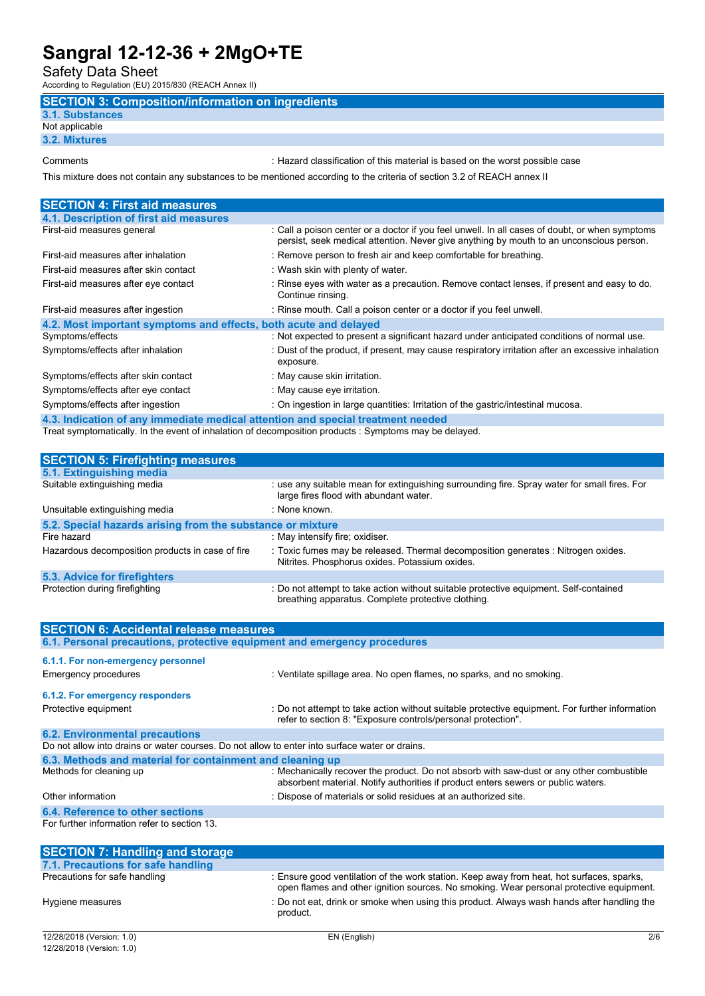Safety Data Sheet

According to Regulation (EU) 2015/830 (REACH Annex II)

# SECTION 3: Composition/information on ingredients

#### 3.1. Substances Not applicable

3.2. Mixtures

Comments : Hazard classification of this material is based on the worst possible case

This mixture does not contain any substances to be mentioned according to the criteria of section 3.2 of REACH annex II

| <b>SECTION 4: First aid measures</b>                                           |                                                                                                                                                                                           |
|--------------------------------------------------------------------------------|-------------------------------------------------------------------------------------------------------------------------------------------------------------------------------------------|
| 4.1. Description of first aid measures                                         |                                                                                                                                                                                           |
| First-aid measures general                                                     | : Call a poison center or a doctor if you feel unwell. In all cases of doubt, or when symptoms<br>persist, seek medical attention. Never give anything by mouth to an unconscious person. |
| First-aid measures after inhalation                                            | : Remove person to fresh air and keep comfortable for breathing.                                                                                                                          |
| First-aid measures after skin contact                                          | : Wash skin with plenty of water.                                                                                                                                                         |
| First-aid measures after eye contact                                           | : Rinse eyes with water as a precaution. Remove contact lenses, if present and easy to do.<br>Continue rinsing.                                                                           |
| First-aid measures after ingestion                                             | : Rinse mouth. Call a poison center or a doctor if you feel unwell.                                                                                                                       |
| 4.2. Most important symptoms and effects, both acute and delayed               |                                                                                                                                                                                           |
| Symptoms/effects                                                               | : Not expected to present a significant hazard under anticipated conditions of normal use.                                                                                                |
| Symptoms/effects after inhalation                                              | : Dust of the product, if present, may cause respiratory irritation after an excessive inhalation<br>exposure.                                                                            |
| Symptoms/effects after skin contact                                            | : May cause skin irritation.                                                                                                                                                              |
| Symptoms/effects after eye contact                                             | : May cause eye irritation.                                                                                                                                                               |
| Symptoms/effects after ingestion                                               | : On ingestion in large quantities: Irritation of the gastric/intestinal mucosa.                                                                                                          |
| A 2 Indication of any immediate medical attention and enecial treatment needed |                                                                                                                                                                                           |

.3. Indication of any immediate medical attention and special treatment need Treat symptomatically. In the event of inhalation of decomposition products : Symptoms may be delayed.

| <b>SECTION 5: Firefighting measures</b>                    |                                                                                                                                             |
|------------------------------------------------------------|---------------------------------------------------------------------------------------------------------------------------------------------|
| 5.1. Extinguishing media                                   |                                                                                                                                             |
| Suitable extinguishing media                               | : use any suitable mean for extinguishing surrounding fire. Spray water for small fires. For<br>large fires flood with abundant water.      |
| Unsuitable extinguishing media                             | : None known.                                                                                                                               |
| 5.2. Special hazards arising from the substance or mixture |                                                                                                                                             |
| Fire hazard                                                | : May intensify fire; oxidiser.                                                                                                             |
| Hazardous decomposition products in case of fire           | : Toxic fumes may be released. Thermal decomposition generates : Nitrogen oxides.<br>Nitrites. Phosphorus oxides. Potassium oxides.         |
| 5.3. Advice for firefighters                               |                                                                                                                                             |
| Protection during firefighting                             | : Do not attempt to take action without suitable protective equipment. Self-contained<br>breathing apparatus. Complete protective clothing. |

| <b>SECTION 3. FIRE DUTIER THE ASSESS</b>                                                       |                                                                                                                                                                               |
|------------------------------------------------------------------------------------------------|-------------------------------------------------------------------------------------------------------------------------------------------------------------------------------|
| 5.1. Extinguishing media                                                                       |                                                                                                                                                                               |
| Suitable extinguishing media                                                                   | : use any suitable mean for extinguishing surrounding fire. Spray water for small fires. For<br>large fires flood with abundant water.                                        |
| Unsuitable extinguishing media                                                                 | : None known.                                                                                                                                                                 |
| 5.2. Special hazards arising from the substance or mixture                                     |                                                                                                                                                                               |
| Fire hazard                                                                                    | : May intensify fire; oxidiser.                                                                                                                                               |
| Hazardous decomposition products in case of fire                                               | : Toxic fumes may be released. Thermal decomposition generates : Nitrogen oxides.<br>Nitrites. Phosphorus oxides. Potassium oxides.                                           |
| 5.3. Advice for firefighters                                                                   |                                                                                                                                                                               |
| Protection during firefighting                                                                 | : Do not attempt to take action without suitable protective equipment. Self-contained<br>breathing apparatus. Complete protective clothing.                                   |
| <b>SECTION 6: Accidental release measures</b>                                                  |                                                                                                                                                                               |
| 6.1. Personal precautions, protective equipment and emergency procedures                       |                                                                                                                                                                               |
| 6.1.1. For non-emergency personnel                                                             |                                                                                                                                                                               |
| Emergency procedures                                                                           | : Ventilate spillage area. No open flames, no sparks, and no smoking.                                                                                                         |
| 6.1.2. For emergency responders                                                                |                                                                                                                                                                               |
| Protective equipment                                                                           | : Do not attempt to take action without suitable protective equipment. For further information<br>refer to section 8: "Exposure controls/personal protection".                |
| <b>6.2. Environmental precautions</b>                                                          |                                                                                                                                                                               |
| Do not allow into drains or water courses. Do not allow to enter into surface water or drains. |                                                                                                                                                                               |
| 6.3. Methods and material for containment and cleaning up                                      |                                                                                                                                                                               |
| Methods for cleaning up                                                                        | : Mechanically recover the product. Do not absorb with saw-dust or any other combustible<br>absorbent material. Notify authorities if product enters sewers or public waters. |
| Other information                                                                              | : Dispose of materials or solid residues at an authorized site.                                                                                                               |
| 6.4. Reference to other sections                                                               |                                                                                                                                                                               |
| For further information refer to section 13.                                                   |                                                                                                                                                                               |
|                                                                                                |                                                                                                                                                                               |
|                                                                                                |                                                                                                                                                                               |

| <b>SECTION 7: Handling and storage</b> |                                                                                                                                                                                      |
|----------------------------------------|--------------------------------------------------------------------------------------------------------------------------------------------------------------------------------------|
| 7.1. Precautions for safe handling     |                                                                                                                                                                                      |
| Precautions for safe handling          | : Ensure good ventilation of the work station. Keep away from heat, hot surfaces, sparks,<br>open flames and other ignition sources. No smoking. Wear personal protective equipment. |
| Hygiene measures                       | : Do not eat, drink or smoke when using this product. Always wash hands after handling the<br>product.                                                                               |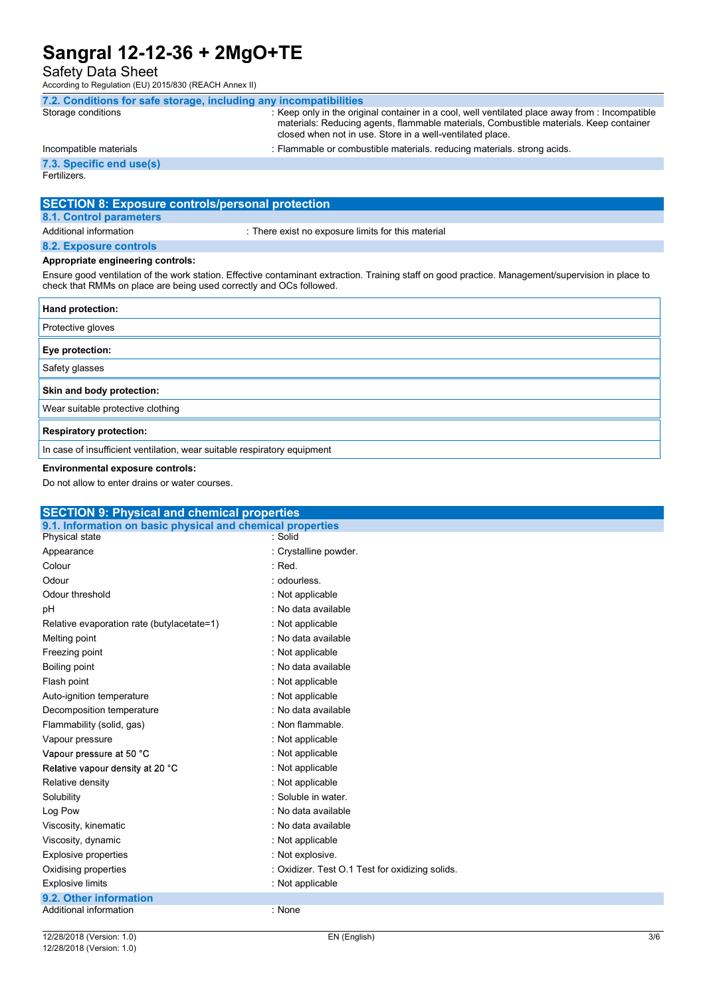Safety Data Sheet

According to Regulation (EU) 2015/830 (REACH Annex II)

| 7.2. Conditions for safe storage, including any incompatibilities |                                                                                                                                                                                                                                                        |
|-------------------------------------------------------------------|--------------------------------------------------------------------------------------------------------------------------------------------------------------------------------------------------------------------------------------------------------|
| Storage conditions                                                | : Keep only in the original container in a cool, well ventilated place away from : Incompatible<br>materials: Reducing agents, flammable materials, Combustible materials. Keep container<br>closed when not in use. Store in a well-ventilated place. |
| Incompatible materials                                            | : Flammable or combustible materials, reducing materials, strong acids.                                                                                                                                                                                |
| 7.3. Specific end use(s)                                          |                                                                                                                                                                                                                                                        |
| Fertilizers.                                                      |                                                                                                                                                                                                                                                        |
|                                                                   |                                                                                                                                                                                                                                                        |
|                                                                   |                                                                                                                                                                                                                                                        |

#### SECTION 8: Exposure controls/personal protection 8.1. Control parameters

Additional information  $\blacksquare$ : There exist no exposure limits for this material

### 8.2. Exposure controls Appropriate engineering controls:

Ensure good ventilation of the work station. Effective contaminant extraction. Training staff on good practice. Management/supervision in place to check that RMMs on place are being used correctly and OCs followed.

| Hand protection:                                                         |
|--------------------------------------------------------------------------|
| Protective gloves                                                        |
| Eye protection:                                                          |
| Safety glasses                                                           |
| Skin and body protection:                                                |
| Wear suitable protective clothing                                        |
| <b>Respiratory protection:</b>                                           |
| In case of insufficient ventilation, wear suitable respiratory equipment |

#### Environmental exposure controls:

Do not allow to enter drains or water courses.

| <b>SECTION 9: Physical and chemical properties</b>         |                                                 |
|------------------------------------------------------------|-------------------------------------------------|
| 9.1. Information on basic physical and chemical properties |                                                 |
| Physical state                                             | : Solid                                         |
| Appearance                                                 | : Crystalline powder.                           |
| Colour                                                     | $:$ Red.                                        |
| Odour                                                      | : odourless.                                    |
| Odour threshold                                            | : Not applicable                                |
| рH                                                         | : No data available                             |
| Relative evaporation rate (butylacetate=1)                 | : Not applicable                                |
| Melting point                                              | : No data available                             |
| Freezing point                                             | : Not applicable                                |
| Boiling point                                              | : No data available                             |
| Flash point                                                | : Not applicable                                |
| Auto-ignition temperature                                  | : Not applicable                                |
| Decomposition temperature                                  | : No data available                             |
| Flammability (solid, gas)                                  | : Non flammable.                                |
| Vapour pressure                                            | : Not applicable                                |
| Vapour pressure at 50 °C                                   | : Not applicable                                |
| Relative vapour density at 20 °C                           | : Not applicable                                |
| Relative density                                           | : Not applicable                                |
| Solubility                                                 | : Soluble in water.                             |
| Log Pow                                                    | : No data available                             |
| Viscosity, kinematic                                       | : No data available                             |
| Viscosity, dynamic                                         | : Not applicable                                |
| <b>Explosive properties</b>                                | : Not explosive.                                |
| Oxidising properties                                       | : Oxidizer. Test O.1 Test for oxidizing solids. |
| <b>Explosive limits</b>                                    | : Not applicable                                |
| 9.2. Other information                                     |                                                 |
| Additional information                                     | : None                                          |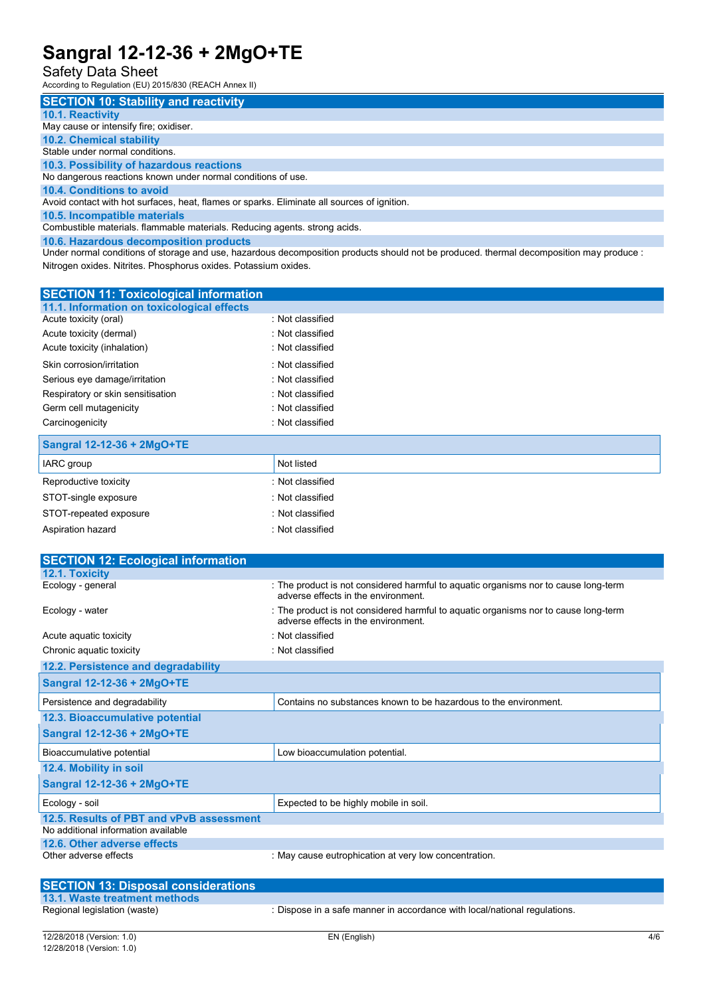# Safety Data Sheet

According to Regulation (EU) 2015/830 (REACH Annex II)

| <b>SECTION 10: Stability and reactivity</b>                                                                                      |
|----------------------------------------------------------------------------------------------------------------------------------|
| 10.1. Reactivity                                                                                                                 |
| May cause or intensify fire; oxidiser.                                                                                           |
| <b>10.2. Chemical stability</b>                                                                                                  |
| Stable under normal conditions.                                                                                                  |
| 10.3. Possibility of hazardous reactions                                                                                         |
| No dangerous reactions known under normal conditions of use.                                                                     |
| 10.4. Conditions to avoid                                                                                                        |
| Avoid contact with hot surfaces, heat, flames or sparks. Eliminate all sources of ignition.                                      |
| 10.5. Incompatible materials                                                                                                     |
| Combustible materials. flammable materials. Reducing agents. strong acids.                                                       |
| 10.6. Hazardous decomposition products                                                                                           |
| I hadan sama da additasa da daman and coa bagandara da samasaiting mudrutu akan da kamadraad dahana da samasaiting marcuratras . |

Under normal conditions of storage and use, hazardous decomposition products should not be produced. thermal decomposition may produce : Nitrogen oxides. Nitrites. Phosphorus oxides. Potassium oxides.

| <b>SECTION 11: Toxicological information</b> |                    |
|----------------------------------------------|--------------------|
| 11.1. Information on toxicological effects   |                    |
| Acute toxicity (oral)                        | : Not classified   |
| Acute toxicity (dermal)                      | : Not classified   |
| Acute toxicity (inhalation)                  | · Not classified   |
| Skin corrosion/irritation                    | $:$ Not classified |
| Serious eye damage/irritation                | : Not classified   |
| Respiratory or skin sensitisation            | : Not classified   |
| Germ cell mutagenicity                       | · Not classified   |
| Carcinogenicity                              | : Not classified   |
| Sangral 12-12-36 + 2MgO+TE                   |                    |

| O(1)                   |                  |
|------------------------|------------------|
| IARC group             | Not listed       |
| Reproductive toxicity  | : Not classified |
| STOT-single exposure   | : Not classified |
| STOT-repeated exposure | : Not classified |
| Aspiration hazard      | : Not classified |
|                        |                  |

| <b>SECTION 12: Ecological information</b> |                                                                                                                            |
|-------------------------------------------|----------------------------------------------------------------------------------------------------------------------------|
| 12.1. Toxicity                            |                                                                                                                            |
| Ecology - general                         | : The product is not considered harmful to aquatic organisms nor to cause long-term<br>adverse effects in the environment. |
| Ecology - water                           | : The product is not considered harmful to aquatic organisms nor to cause long-term<br>adverse effects in the environment. |
| Acute aquatic toxicity                    | : Not classified                                                                                                           |
| Chronic aquatic toxicity                  | : Not classified                                                                                                           |
| 12.2. Persistence and degradability       |                                                                                                                            |
| Sangral 12-12-36 + 2MgO+TE                |                                                                                                                            |
| Persistence and degradability             | Contains no substances known to be hazardous to the environment.                                                           |
| 12.3. Bioaccumulative potential           |                                                                                                                            |
| Sangral 12-12-36 + 2MgO+TE                |                                                                                                                            |
| Bioaccumulative potential                 | Low bioaccumulation potential.                                                                                             |
| 12.4. Mobility in soil                    |                                                                                                                            |
| Sangral 12-12-36 + 2MgO+TE                |                                                                                                                            |
| Ecology - soil                            | Expected to be highly mobile in soil.                                                                                      |
| 12.5. Results of PBT and vPvB assessment  |                                                                                                                            |
| No additional information available       |                                                                                                                            |
| 12.6. Other adverse effects               |                                                                                                                            |
| Other adverse effects                     | : May cause eutrophication at very low concentration.                                                                      |
|                                           |                                                                                                                            |

| <b>SECTION 13: Disposal considerations</b> |                                                                           |
|--------------------------------------------|---------------------------------------------------------------------------|
| 13.1. Waste treatment methods              |                                                                           |
| Regional legislation (waste)               | : Dispose in a safe manner in accordance with local/national regulations. |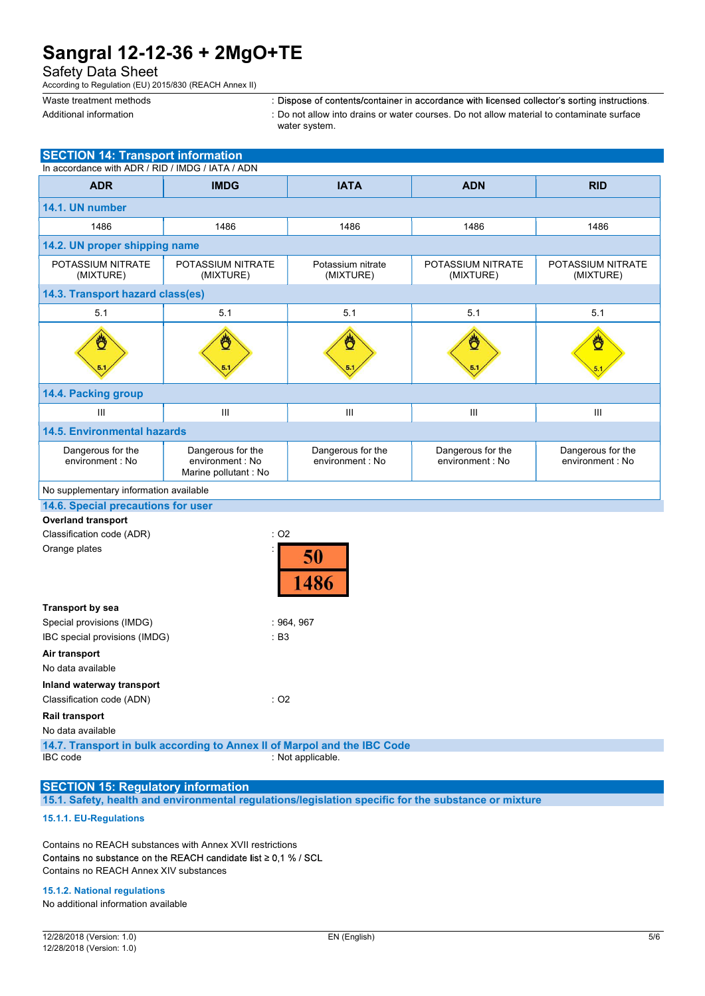|  |  | water sys |
|--|--|-----------|
|  |  |           |
|  |  |           |

| Waste treatment methods<br>Additional information                                            |                                                                | : Dispose of contents/container in accordance with licensed collector's sorting instructions.<br>: Do not allow into drains or water courses. Do not allow material to contaminate surface |                                       |                                       |
|----------------------------------------------------------------------------------------------|----------------------------------------------------------------|--------------------------------------------------------------------------------------------------------------------------------------------------------------------------------------------|---------------------------------------|---------------------------------------|
|                                                                                              |                                                                | water system.                                                                                                                                                                              |                                       |                                       |
| <b>SECTION 14: Transport information</b><br>In accordance with ADR / RID / IMDG / IATA / ADN |                                                                |                                                                                                                                                                                            |                                       |                                       |
| <b>ADR</b>                                                                                   | <b>IMDG</b>                                                    | <b>IATA</b>                                                                                                                                                                                | <b>ADN</b>                            | <b>RID</b>                            |
| 14.1. UN number                                                                              |                                                                |                                                                                                                                                                                            |                                       |                                       |
| 1486                                                                                         | 1486                                                           | 1486                                                                                                                                                                                       | 1486                                  | 1486                                  |
| 14.2. UN proper shipping name                                                                |                                                                |                                                                                                                                                                                            |                                       |                                       |
| POTASSIUM NITRATE<br>(MIXTURE)                                                               | POTASSIUM NITRATE<br>(MIXTURE)                                 | Potassium nitrate<br>(MIXTURE)                                                                                                                                                             | POTASSIUM NITRATE<br>(MIXTURE)        | POTASSIUM NITRATE<br>(MIXTURE)        |
| 14.3. Transport hazard class(es)                                                             |                                                                |                                                                                                                                                                                            |                                       |                                       |
| 5.1                                                                                          | 5.1                                                            | 5.1                                                                                                                                                                                        | 5.1                                   | 5.1                                   |
|                                                                                              |                                                                |                                                                                                                                                                                            |                                       |                                       |
| 14.4. Packing group                                                                          |                                                                |                                                                                                                                                                                            |                                       |                                       |
| $\mathop{\rm III}\nolimits$                                                                  | III                                                            | $\mathop{\rm III}\nolimits$                                                                                                                                                                | $\ensuremath{\mathsf{III}}\xspace$    | $\ensuremath{\mathsf{III}}\xspace$    |
| <b>14.5. Environmental hazards</b>                                                           |                                                                |                                                                                                                                                                                            |                                       |                                       |
| Dangerous for the<br>environment : No                                                        | Dangerous for the<br>environment : No<br>Marine pollutant : No | Dangerous for the<br>environment : No                                                                                                                                                      | Dangerous for the<br>environment : No | Dangerous for the<br>environment : No |
| No supplementary information available                                                       |                                                                |                                                                                                                                                                                            |                                       |                                       |
| 14.6. Special precautions for user                                                           |                                                                |                                                                                                                                                                                            |                                       |                                       |
| <b>Overland transport</b><br>Classification code (ADR)                                       |                                                                | $:$ O2                                                                                                                                                                                     |                                       |                                       |
| Orange plates                                                                                |                                                                | 50<br>1486                                                                                                                                                                                 |                                       |                                       |
| Transport by sea<br>Special provisions (IMDG)<br>IBC special provisions (IMDG)               |                                                                | : 964, 967<br>: B3                                                                                                                                                                         |                                       |                                       |
| Air transport<br>No data available                                                           |                                                                |                                                                                                                                                                                            |                                       |                                       |
| Inland waterway transport<br>Classification code (ADN)                                       |                                                                | $:$ O2                                                                                                                                                                                     |                                       |                                       |
| Rail transport<br>No data available                                                          |                                                                |                                                                                                                                                                                            |                                       |                                       |
| IBC code                                                                                     |                                                                | 14.7. Transport in bulk according to Annex II of Marpol and the IBC Code<br>: Not applicable.                                                                                              |                                       |                                       |

#### SECTION 15: Regulatory information 15.1. Safety, health and environmental regulations/legislation specific for the substance or mixture

### 15.1.1. EU-Regulations

Contains no REACH substances with Annex XVII restrictions Contains no substance on the REACH candidate list  $\geq 0.1$  % / SCL Contains no REACH Annex XIV substances

### 15.1.2. National regulations

No additional information available